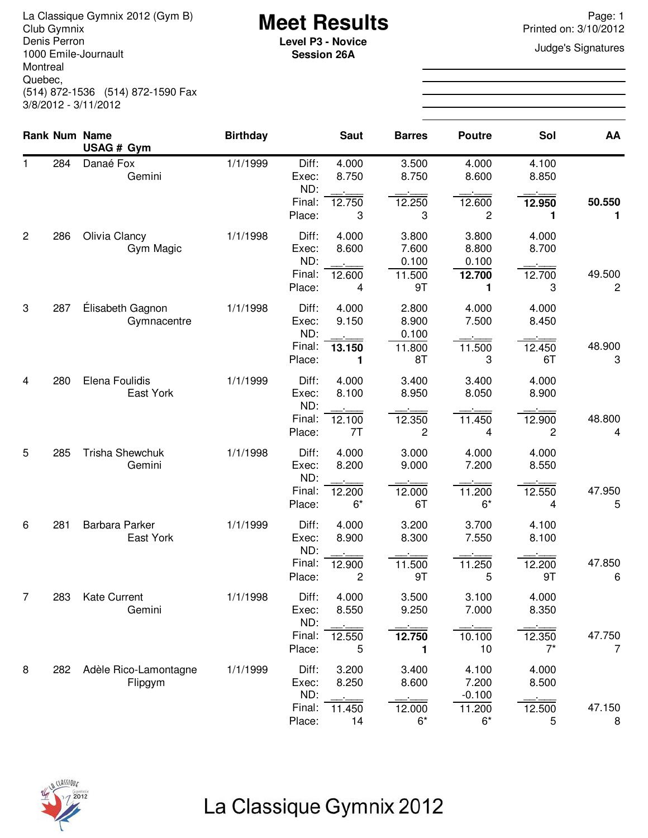La Classique Gymnix 2012 (Gym B)<br>Club Gymnix 2012 (Gym B) **Meet Results**<br>Denis Perron **Page: 1** Printed on: 3/10/2012 Denis Perron 1000 Emile-Journault Montreal Quebec, (514) 872-1536 (514) 872-1590 Fax 3/8/2012 - 3/11/2012

**Session 26A**

Printed on: 3/10/2012

**Judge's Signatures** 

|                |     | <b>Rank Num Name</b>             | <b>Birthday</b> |                                           | <b>Saut</b>                      | <b>Barres</b>                           | <b>Poutre</b>                          | Sol                            | AA                       |
|----------------|-----|----------------------------------|-----------------|-------------------------------------------|----------------------------------|-----------------------------------------|----------------------------------------|--------------------------------|--------------------------|
|                |     | USAG # Gym                       |                 |                                           |                                  |                                         |                                        |                                |                          |
| 1              | 284 | Danaé Fox<br>Gemini              | 1/1/1999        | Diff:<br>Exec:<br>ND:                     | 4.000<br>8.750                   | 3.500<br>8.750                          | 4.000<br>8.600                         | 4.100<br>8.850                 |                          |
|                |     |                                  |                 | Final:<br>Place:                          | 12.750<br>3                      | 12.250<br>3                             | 12.600<br>2                            | 12.950<br>1                    | 50.550<br>1              |
| $\overline{c}$ | 286 | Olivia Clancy<br>Gym Magic       | 1/1/1998        | Diff:<br>Exec:<br>ND:<br>Final:<br>Place: | 4.000<br>8.600<br>12.600<br>4    | 3.800<br>7.600<br>0.100<br>11.500<br>9T | 3.800<br>8.800<br>0.100<br>12.700<br>1 | 4.000<br>8.700<br>12.700<br>3  | 49.500<br>$\overline{c}$ |
| 3              | 287 | Élisabeth Gagnon<br>Gymnacentre  | 1/1/1998        | Diff:<br>Exec:<br>ND:<br>Final:<br>Place: | 4.000<br>9.150<br>13.150<br>1    | 2.800<br>8.900<br>0.100<br>11.800<br>8T | 4.000<br>7.500<br>11.500<br>3          | 4.000<br>8.450<br>12.450<br>6T | 48.900<br>3              |
| 4              | 280 | Elena Foulidis<br>East York      | 1/1/1999        | Diff:<br>Exec:<br>ND:<br>Final:<br>Place: | 4.000<br>8.100<br>12.100<br>7T   | 3.400<br>8.950<br>12.350<br>2           | 3.400<br>8.050<br>11.450<br>4          | 4.000<br>8.900<br>12.900<br>2  | 48.800<br>4              |
| 5              | 285 | <b>Trisha Shewchuk</b><br>Gemini | 1/1/1998        | Diff:<br>Exec:<br>ND:<br>Final:<br>Place: | 4.000<br>8.200<br>12.200<br>$6*$ | 3.000<br>9.000<br>12.000<br>6T          | 4.000<br>7.200<br>11.200<br>$6*$       | 4.000<br>8.550<br>12.550<br>4  | 47.950<br>5              |
| 6              | 281 | Barbara Parker<br>East York      | 1/1/1999        | Diff:<br>Exec:<br>ND:                     | 4.000<br>8.900                   | 3.200<br>8.300                          | 3.700<br>7.550                         | 4.100<br>8.100                 |                          |
|                |     |                                  |                 | Final:<br>Place:                          | 12.900<br>2                      | 11.500<br>9T                            | 11.250<br>5                            | 12.200<br>9T                   | 47.850<br>6              |
| 7              | 283 | <b>Kate Current</b><br>Gemini    | 1/1/1998        | Diff:<br>Exec:<br>ND:                     | 4.000<br>8.550                   | 3.500<br>9.250                          | 3.100<br>7.000                         | 4.000<br>8.350                 |                          |
|                |     |                                  |                 | Final:<br>Place:                          | 12.550<br>5                      | 12.750<br>1                             | 10.100<br>10                           | 12.350<br>$7^*$                | 47.750<br>$\overline{7}$ |
| 8              | 282 | Adèle Rico-Lamontagne<br>Flipgym | 1/1/1999        | Diff:<br>Exec:<br>ND:<br>Final:           | 3.200<br>8.250<br>11.450         | 3.400<br>8.600<br>12.000                | 4.100<br>7.200<br>$-0.100$<br>11.200   | 4.000<br>8.500<br>12.500       | 47.150                   |
|                |     |                                  |                 | Place:                                    | 14                               | $6*$                                    | $6*$                                   | 5                              | 8                        |

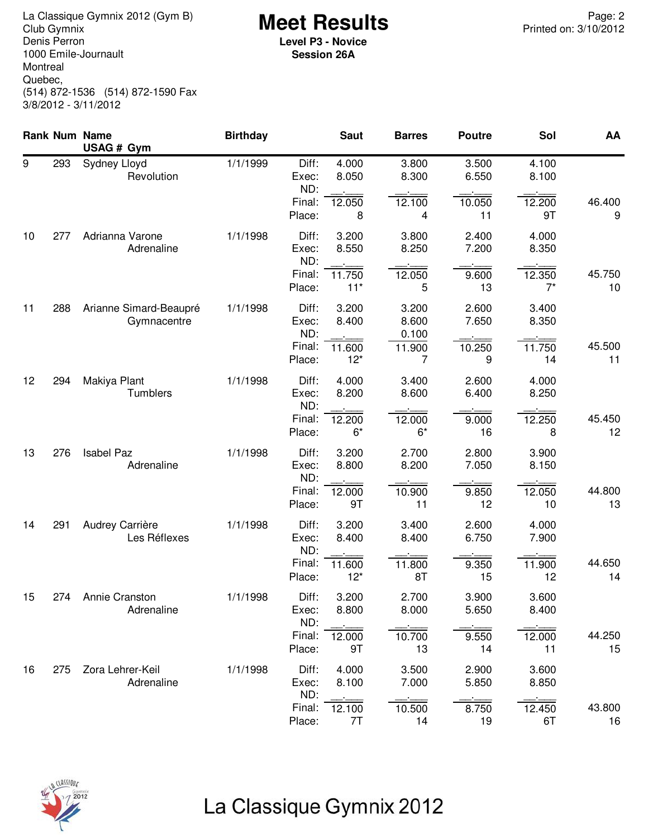**Meet Results** La Classique Gymnix 2012 (Gym B) Page: 2 Denis Perron 1000 Emile-Journault Montreal Quebec, (514) 872-1536 (514) 872-1590 Fax 3/8/2012 - 3/11/2012

**Level P3 - Novice Session 26A**

|    |     | Rank Num Name<br>USAG # Gym           | <b>Birthday</b> |                       | <b>Saut</b>     | <b>Barres</b>           | <b>Poutre</b>  | Sol             | AA           |
|----|-----|---------------------------------------|-----------------|-----------------------|-----------------|-------------------------|----------------|-----------------|--------------|
| 9  | 293 | Sydney Lloyd<br>Revolution            | 1/1/1999        | Diff:<br>Exec:<br>ND: | 4.000<br>8.050  | 3.800<br>8.300          | 3.500<br>6.550 | 4.100<br>8.100  |              |
|    |     |                                       |                 | Final:<br>Place:      | 12.050<br>8     | 12.100<br>4             | 10.050<br>11   | 12.200<br>9T    | 46.400<br>9  |
| 10 | 277 | Adrianna Varone<br>Adrenaline         | 1/1/1998        | Diff:<br>Exec:<br>ND: | 3.200<br>8.550  | 3.800<br>8.250          | 2.400<br>7.200 | 4.000<br>8.350  |              |
|    |     |                                       |                 | Final:<br>Place:      | 11.750<br>$11*$ | 12.050<br>5             | 9.600<br>13    | 12.350<br>$7^*$ | 45.750<br>10 |
| 11 | 288 | Arianne Simard-Beaupré<br>Gymnacentre | 1/1/1998        | Diff:<br>Exec:<br>ND: | 3.200<br>8.400  | 3.200<br>8.600<br>0.100 | 2.600<br>7.650 | 3.400<br>8.350  |              |
|    |     |                                       |                 | Final:<br>Place:      | 11.600<br>$12*$ | 11.900<br>7             | 10.250<br>9    | 11.750<br>14    | 45.500<br>11 |
| 12 | 294 | Makiya Plant<br>Tumblers              | 1/1/1998        | Diff:<br>Exec:<br>ND: | 4.000<br>8.200  | 3.400<br>8.600          | 2.600<br>6.400 | 4.000<br>8.250  |              |
|    |     |                                       |                 | Final:<br>Place:      | 12.200<br>$6*$  | 12.000<br>$6*$          | 9.000<br>16    | 12.250<br>8     | 45.450<br>12 |
| 13 | 276 | <b>Isabel Paz</b><br>Adrenaline       | 1/1/1998        | Diff:<br>Exec:<br>ND: | 3.200<br>8.800  | 2.700<br>8.200          | 2.800<br>7.050 | 3.900<br>8.150  |              |
|    |     |                                       |                 | Final:<br>Place:      | 12.000<br>9T    | 10.900<br>11            | 9.850<br>12    | 12.050<br>10    | 44.800<br>13 |
| 14 | 291 | Audrey Carrière<br>Les Réflexes       | 1/1/1998        | Diff:<br>Exec:<br>ND: | 3.200<br>8.400  | 3.400<br>8.400          | 2.600<br>6.750 | 4.000<br>7.900  |              |
|    |     |                                       |                 | Final:<br>Place:      | 11.600<br>$12*$ | 11.800<br>8T            | 9.350<br>15    | 11.900<br>12    | 44.650<br>14 |
| 15 | 274 | Annie Cranston<br>Adrenaline          | 1/1/1998        | Diff:<br>Exec:<br>ND: | 3.200<br>8.800  | 2.700<br>8.000          | 3.900<br>5.650 | 3.600<br>8.400  |              |
|    |     |                                       |                 | Final:<br>Place:      | 12.000<br>9T    | 10.700<br>13            | 9.550<br>14    | 12.000<br>11    | 44.250<br>15 |
| 16 | 275 | Zora Lehrer-Keil<br>Adrenaline        | 1/1/1998        | Diff:<br>Exec:<br>ND: | 4.000<br>8.100  | 3.500<br>7.000          | 2.900<br>5.850 | 3.600<br>8.850  |              |
|    |     |                                       |                 | Final:<br>Place:      | 12.100<br>7T    | 10.500<br>14            | 8.750<br>19    | 12.450<br>6T    | 43.800<br>16 |



## La Classique Gymnix 2012